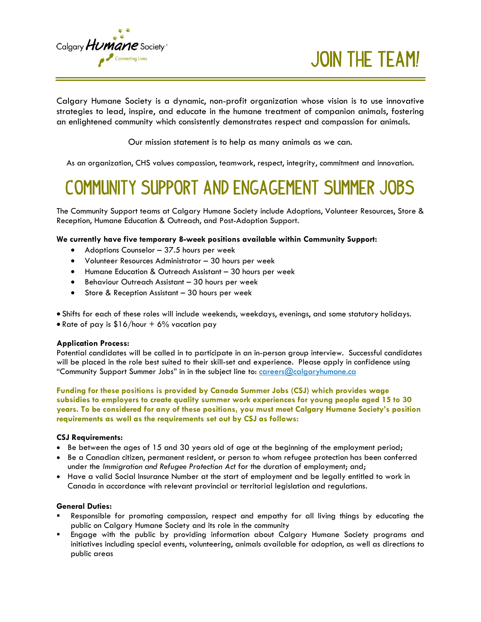

**Join the Team!**

Calgary Humane Society is a dynamic, non-profit organization whose vision is to use innovative strategies to lead, inspire, and educate in the humane treatment of companion animals, fostering an enlightened community which consistently demonstrates respect and compassion for animals.

Our mission statement is to help as many animals as we can.

As an organization, CHS values compassion, teamwork, respect, integrity, commitment and innovation.

## **Community Support and Engagement Summer Jobs**

The Community Support teams at Calgary Humane Society include Adoptions, Volunteer Resources, Store & Reception, Humane Education & Outreach, and Post-Adoption Support.

#### **We currently have five temporary 8-week positions available within Community Support:**

- Adoptions Counselor 37.5 hours per week
- Volunteer Resources Administrator 30 hours per week
- Humane Education & Outreach Assistant 30 hours per week
- Behaviour Outreach Assistant 30 hours per week
- Store & Reception Assistant 30 hours per week
- Shifts for each of these roles will include weekends, weekdays, evenings, and some statutory holidays.
- Rate of pay is  $$16/hour + 6%$  vacation pay

#### **Application Process:**

Potential candidates will be called in to participate in an in-person group interview. Successful candidates will be placed in the role best suited to their skill-set and experience. Please apply in confidence using "Community Support Summer Jobs" in in the subject line to: [careers@calgaryhumane.ca](mailto:careers@calgaryhumane.ca)

**Funding for these positions is provided by Canada Summer Jobs (CSJ) which provides wage subsidies to employers to create quality summer work experiences for young people aged 15 to 30 years. To be considered for any of these positions, you must meet Calgary Humane Society's position requirements as well as the requirements set out by CSJ as follows:** 

#### **CSJ Requirements:**

- Be between the ages of 15 and 30 years old of age at the beginning of the employment period;
- Be a Canadian citizen, permanent resident, or person to whom refugee protection has been conferred under the *Immigration and Refugee Protection Act* for the duration of employment; and;
- Have a valid Social Insurance Number at the start of employment and be legally entitled to work in Canada in accordance with relevant provincial or territorial legislation and regulations.

#### **General Duties:**

- Responsible for promoting compassion, respect and empathy for all living things by educating the public on Calgary Humane Society and its role in the community
- Engage with the public by providing information about Calgary Humane Society programs and initiatives including special events, volunteering, animals available for adoption, as well as directions to public areas